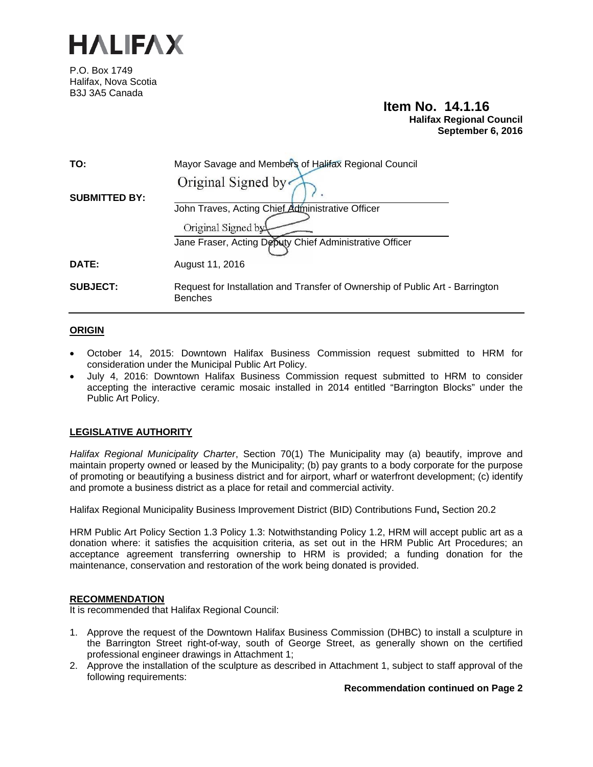

P.O. Box 1749 Halifax, Nova Scotia B3J 3A5 Canada

#### **Item No. 14.1.16 Halifax Regional Council September 6, 2016**

| TO:                  | Mayor Savage and Members of Halifax Regional Council                                            |
|----------------------|-------------------------------------------------------------------------------------------------|
|                      | Original Signed by                                                                              |
| <b>SUBMITTED BY:</b> |                                                                                                 |
|                      | John Traves, Acting Chief Administrative Officer                                                |
|                      | Original Signed by                                                                              |
|                      | Jane Fraser, Acting Deputy Chief Administrative Officer                                         |
| DATE:                | August 11, 2016                                                                                 |
| <b>SUBJECT:</b>      | Request for Installation and Transfer of Ownership of Public Art - Barrington<br><b>Benches</b> |

#### **ORIGIN**

- October 14, 2015: Downtown Halifax Business Commission request submitted to HRM for consideration under the Municipal Public Art Policy.
- July 4, 2016: Downtown Halifax Business Commission request submitted to HRM to consider accepting the interactive ceramic mosaic installed in 2014 entitled "Barrington Blocks" under the Public Art Policy.

#### **LEGISLATIVE AUTHORITY**

*Halifax Regional Municipality Charter*, Section 70(1) The Municipality may (a) beautify, improve and maintain property owned or leased by the Municipality; (b) pay grants to a body corporate for the purpose of promoting or beautifying a business district and for airport, wharf or waterfront development; (c) identify and promote a business district as a place for retail and commercial activity.

Halifax Regional Municipality Business Improvement District (BID) Contributions Fund**,** Section 20.2

HRM Public Art Policy Section 1.3 Policy 1.3: Notwithstanding Policy 1.2, HRM will accept public art as a donation where: it satisfies the acquisition criteria, as set out in the HRM Public Art Procedures; an acceptance agreement transferring ownership to HRM is provided; a funding donation for the maintenance, conservation and restoration of the work being donated is provided.

#### **RECOMMENDATION**

It is recommended that Halifax Regional Council:

- 1. Approve the request of the Downtown Halifax Business Commission (DHBC) to install a sculpture in the Barrington Street right-of-way, south of George Street, as generally shown on the certified professional engineer drawings in Attachment 1;
- 2. Approve the installation of the sculpture as described in Attachment 1, subject to staff approval of the following requirements:

#### **Recommendation continued on Page 2**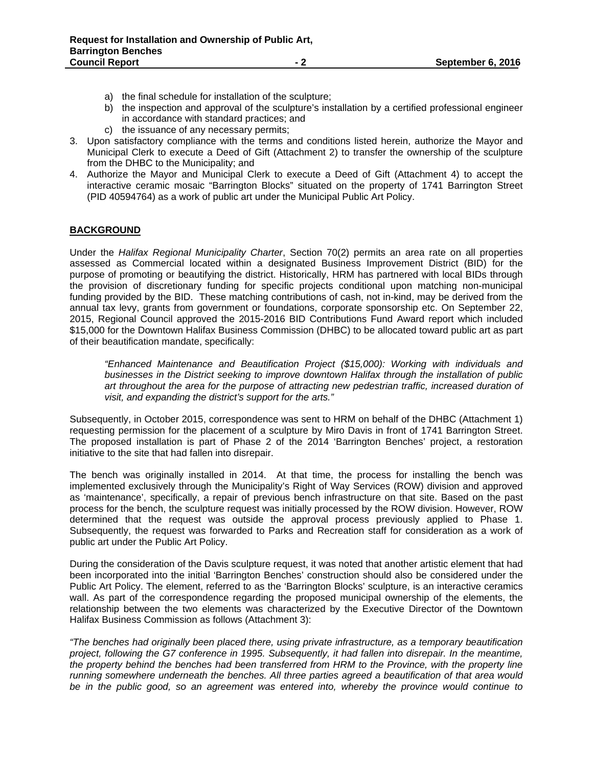- a) the final schedule for installation of the sculpture;
- b) the inspection and approval of the sculpture's installation by a certified professional engineer in accordance with standard practices; and
- c) the issuance of any necessary permits;
- 3. Upon satisfactory compliance with the terms and conditions listed herein, authorize the Mayor and Municipal Clerk to execute a Deed of Gift (Attachment 2) to transfer the ownership of the sculpture from the DHBC to the Municipality; and
- 4. Authorize the Mayor and Municipal Clerk to execute a Deed of Gift (Attachment 4) to accept the interactive ceramic mosaic "Barrington Blocks" situated on the property of 1741 Barrington Street (PID 40594764) as a work of public art under the Municipal Public Art Policy.

#### **BACKGROUND**

Under the *Halifax Regional Municipality Charter*, Section 70(2) permits an area rate on all properties assessed as Commercial located within a designated Business Improvement District (BID) for the purpose of promoting or beautifying the district. Historically, HRM has partnered with local BIDs through the provision of discretionary funding for specific projects conditional upon matching non-municipal funding provided by the BID. These matching contributions of cash, not in-kind, may be derived from the annual tax levy, grants from government or foundations, corporate sponsorship etc. On September 22, 2015, Regional Council approved the 2015-2016 BID Contributions Fund Award report which included \$15,000 for the Downtown Halifax Business Commission (DHBC) to be allocated toward public art as part of their beautification mandate, specifically:

*"Enhanced Maintenance and Beautification Project (\$15,000): Working with individuals and businesses in the District seeking to improve downtown Halifax through the installation of public art throughout the area for the purpose of attracting new pedestrian traffic, increased duration of visit, and expanding the district's support for the arts."*

Subsequently, in October 2015, correspondence was sent to HRM on behalf of the DHBC (Attachment 1) requesting permission for the placement of a sculpture by Miro Davis in front of 1741 Barrington Street. The proposed installation is part of Phase 2 of the 2014 'Barrington Benches' project, a restoration initiative to the site that had fallen into disrepair.

The bench was originally installed in 2014. At that time, the process for installing the bench was implemented exclusively through the Municipality's Right of Way Services (ROW) division and approved as 'maintenance', specifically, a repair of previous bench infrastructure on that site. Based on the past process for the bench, the sculpture request was initially processed by the ROW division. However, ROW determined that the request was outside the approval process previously applied to Phase 1. Subsequently, the request was forwarded to Parks and Recreation staff for consideration as a work of public art under the Public Art Policy.

During the consideration of the Davis sculpture request, it was noted that another artistic element that had been incorporated into the initial 'Barrington Benches' construction should also be considered under the Public Art Policy. The element, referred to as the 'Barrington Blocks' sculpture, is an interactive ceramics wall. As part of the correspondence regarding the proposed municipal ownership of the elements, the relationship between the two elements was characterized by the Executive Director of the Downtown Halifax Business Commission as follows (Attachment 3):

*"The benches had originally been placed there, using private infrastructure, as a temporary beautification project, following the G7 conference in 1995. Subsequently, it had fallen into disrepair. In the meantime, the property behind the benches had been transferred from HRM to the Province, with the property line running somewhere underneath the benches. All three parties agreed a beautification of that area would be in the public good, so an agreement was entered into, whereby the province would continue to*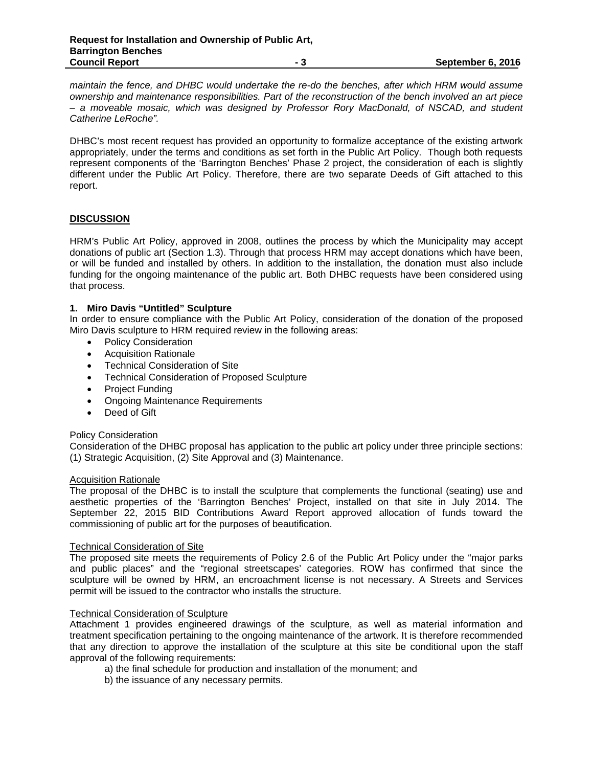*maintain the fence, and DHBC would undertake the re-do the benches, after which HRM would assume ownership and maintenance responsibilities. Part of the reconstruction of the bench involved an art piece – a moveable mosaic, which was designed by Professor Rory MacDonald, of NSCAD, and student Catherine LeRoche".*

DHBC's most recent request has provided an opportunity to formalize acceptance of the existing artwork appropriately, under the terms and conditions as set forth in the Public Art Policy. Though both requests represent components of the 'Barrington Benches' Phase 2 project, the consideration of each is slightly different under the Public Art Policy. Therefore, there are two separate Deeds of Gift attached to this report.

#### **DISCUSSION**

HRM's Public Art Policy, approved in 2008, outlines the process by which the Municipality may accept donations of public art (Section 1.3). Through that process HRM may accept donations which have been, or will be funded and installed by others. In addition to the installation, the donation must also include funding for the ongoing maintenance of the public art. Both DHBC requests have been considered using that process.

#### **1. Miro Davis "Untitled" Sculpture**

In order to ensure compliance with the Public Art Policy, consideration of the donation of the proposed Miro Davis sculpture to HRM required review in the following areas:

- Policy Consideration
- Acquisition Rationale
- Technical Consideration of Site
- Technical Consideration of Proposed Sculpture
- Project Funding
- Ongoing Maintenance Requirements
- Deed of Gift

#### Policy Consideration

Consideration of the DHBC proposal has application to the public art policy under three principle sections: (1) Strategic Acquisition, (2) Site Approval and (3) Maintenance.

#### Acquisition Rationale

The proposal of the DHBC is to install the sculpture that complements the functional (seating) use and aesthetic properties of the 'Barrington Benches' Project, installed on that site in July 2014. The September 22, 2015 BID Contributions Award Report approved allocation of funds toward the commissioning of public art for the purposes of beautification.

#### Technical Consideration of Site

The proposed site meets the requirements of Policy 2.6 of the Public Art Policy under the "major parks and public places" and the "regional streetscapes' categories. ROW has confirmed that since the sculpture will be owned by HRM, an encroachment license is not necessary. A Streets and Services permit will be issued to the contractor who installs the structure.

#### Technical Consideration of Sculpture

Attachment 1 provides engineered drawings of the sculpture, as well as material information and treatment specification pertaining to the ongoing maintenance of the artwork. It is therefore recommended that any direction to approve the installation of the sculpture at this site be conditional upon the staff approval of the following requirements:

- a) the final schedule for production and installation of the monument; and
- b) the issuance of any necessary permits.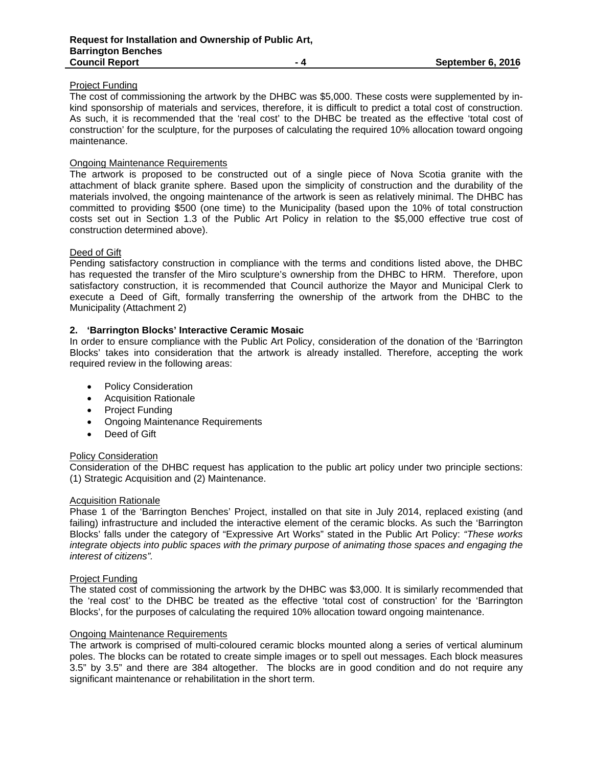#### Project Funding

The cost of commissioning the artwork by the DHBC was \$5,000. These costs were supplemented by inkind sponsorship of materials and services, therefore, it is difficult to predict a total cost of construction. As such, it is recommended that the 'real cost' to the DHBC be treated as the effective 'total cost of construction' for the sculpture, for the purposes of calculating the required 10% allocation toward ongoing maintenance.

#### Ongoing Maintenance Requirements

The artwork is proposed to be constructed out of a single piece of Nova Scotia granite with the attachment of black granite sphere. Based upon the simplicity of construction and the durability of the materials involved, the ongoing maintenance of the artwork is seen as relatively minimal. The DHBC has committed to providing \$500 (one time) to the Municipality (based upon the 10% of total construction costs set out in Section 1.3 of the Public Art Policy in relation to the \$5,000 effective true cost of construction determined above).

#### Deed of Gift

Pending satisfactory construction in compliance with the terms and conditions listed above, the DHBC has requested the transfer of the Miro sculpture's ownership from the DHBC to HRM. Therefore, upon satisfactory construction, it is recommended that Council authorize the Mayor and Municipal Clerk to execute a Deed of Gift, formally transferring the ownership of the artwork from the DHBC to the Municipality (Attachment 2)

#### **2. 'Barrington Blocks' Interactive Ceramic Mosaic**

In order to ensure compliance with the Public Art Policy, consideration of the donation of the 'Barrington Blocks' takes into consideration that the artwork is already installed. Therefore, accepting the work required review in the following areas:

- Policy Consideration
- Acquisition Rationale
- Project Funding
- Ongoing Maintenance Requirements
- Deed of Gift

#### Policy Consideration

Consideration of the DHBC request has application to the public art policy under two principle sections: (1) Strategic Acquisition and (2) Maintenance.

#### Acquisition Rationale

Phase 1 of the 'Barrington Benches' Project, installed on that site in July 2014, replaced existing (and failing) infrastructure and included the interactive element of the ceramic blocks. As such the 'Barrington Blocks' falls under the category of "Expressive Art Works" stated in the Public Art Policy: *"These works integrate objects into public spaces with the primary purpose of animating those spaces and engaging the interest of citizens".* 

#### Project Funding

The stated cost of commissioning the artwork by the DHBC was \$3,000. It is similarly recommended that the 'real cost' to the DHBC be treated as the effective 'total cost of construction' for the 'Barrington Blocks', for the purposes of calculating the required 10% allocation toward ongoing maintenance.

#### Ongoing Maintenance Requirements

The artwork is comprised of multi-coloured ceramic blocks mounted along a series of vertical aluminum poles. The blocks can be rotated to create simple images or to spell out messages. Each block measures 3.5" by 3.5" and there are 384 altogether. The blocks are in good condition and do not require any significant maintenance or rehabilitation in the short term.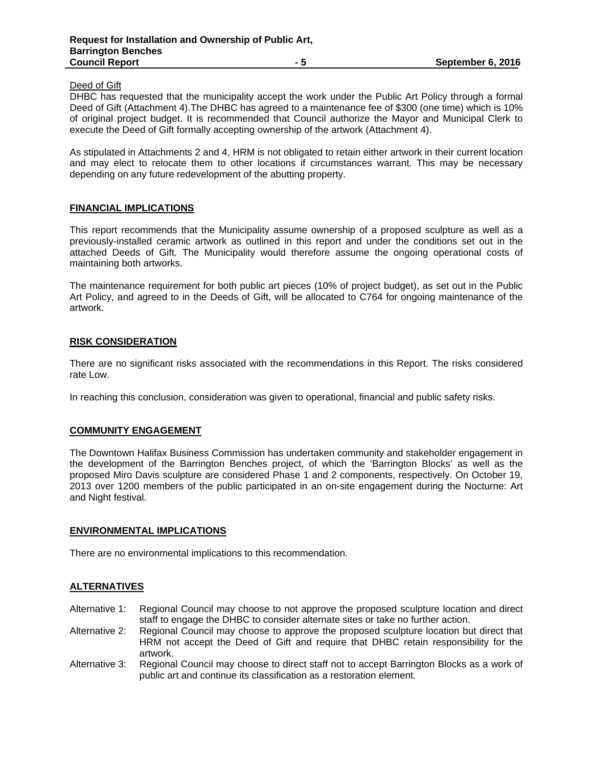#### Deed of Gift

DHBC has requested that the municipality accept the work under the Public Art Policy through a formal Deed of Gift (Attachment 4).The DHBC has agreed to a maintenance fee of \$300 (one time) which is 10% of original project budget. It is recommended that Council authorize the Mayor and Municipal Clerk to execute the Deed of Gift formally accepting ownership of the artwork (Attachment 4).

As stipulated in Attachments 2 and 4, HRM is not obligated to retain either artwork in their current location and may elect to relocate them to other locations if circumstances warrant. This may be necessary depending on any future redevelopment of the abutting property.

#### **FINANCIAL IMPLICATIONS**

This report recommends that the Municipality assume ownership of a proposed sculpture as well as a previously-installed ceramic artwork as outlined in this report and under the conditions set out in the attached Deeds of Gift. The Municipality would therefore assume the ongoing operational costs of maintaining both artworks.

The maintenance requirement for both public art pieces (10% of project budget), as set out in the Public Art Policy, and agreed to in the Deeds of Gift, will be allocated to C764 for ongoing maintenance of the artwork.

#### **RISK CONSIDERATION**

There are no significant risks associated with the recommendations in this Report. The risks considered rate Low.

In reaching this conclusion, consideration was given to operational, financial and public safety risks.

#### **COMMUNITY ENGAGEMENT**

The Downtown Halifax Business Commission has undertaken community and stakeholder engagement in the development of the Barrington Benches project, of which the 'Barrington Blocks' as well as the proposed Miro Davis sculpture are considered Phase 1 and 2 components, respectively. On October 19, 2013 over 1200 members of the public participated in an on-site engagement during the Nocturne: Art and Night festival.

#### **ENVIRONMENTAL IMPLICATIONS**

There are no environmental implications to this recommendation.

#### **ALTERNATIVES**

- Alternative 1: Regional Council may choose to not approve the proposed sculpture location and direct staff to engage the DHBC to consider alternate sites or take no further action.
- Alternative 2: Regional Council may choose to approve the proposed sculpture location but direct that HRM not accept the Deed of Gift and require that DHBC retain responsibility for the artwork.
- Alternative 3: Regional Council may choose to direct staff not to accept Barrington Blocks as a work of public art and continue its classification as a restoration element.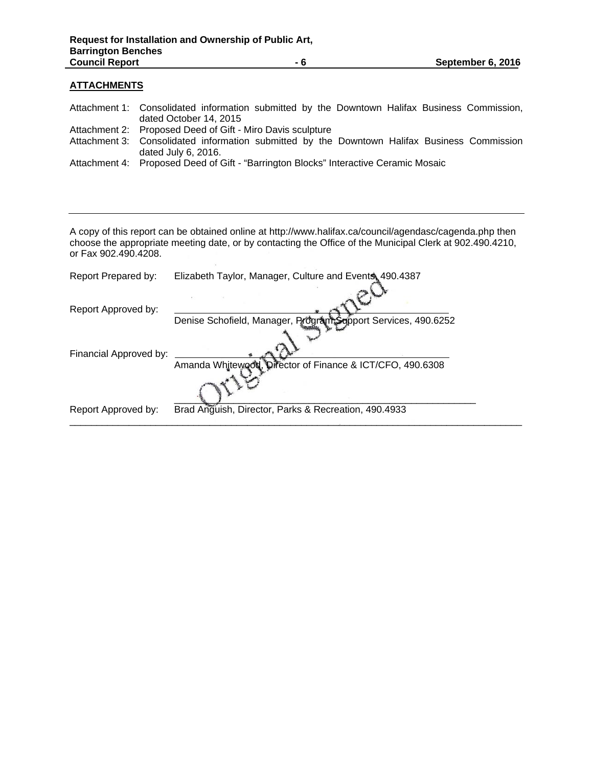#### **ATTACHMENTS**

| Attachment 1: Consolidated information submitted by the Downtown Halifax Business Commission, |                        |  |  |  |  |  |  |
|-----------------------------------------------------------------------------------------------|------------------------|--|--|--|--|--|--|
|                                                                                               | dated October 14, 2015 |  |  |  |  |  |  |

- Attachment 2: Proposed Deed of Gift Miro Davis sculpture
- Attachment 3: Consolidated information submitted by the Downtown Halifax Business Commission dated July 6, 2016.

Attachment 4: Proposed Deed of Gift - "Barrington Blocks" Interactive Ceramic Mosaic

A copy of this report can be obtained online at http://www.halifax.ca/council/agendasc/cagenda.php then choose the appropriate meeting date, or by contacting the Office of the Municipal Clerk at 902.490.4210, or Fax 902.490.4208.

| Report Prepared by:    | Elizabeth Taylor, Manager, Culture and Events, 490.4387       |
|------------------------|---------------------------------------------------------------|
| Report Approved by:    | Denise Schofield, Manager, Program Support Services, 490.6252 |
| Financial Approved by: | Amanda Whitewood, Difector of Finance & ICT/CFO, 490.6308     |
| Report Approved by:    | Brad Anguish, Director, Parks & Recreation, 490.4933          |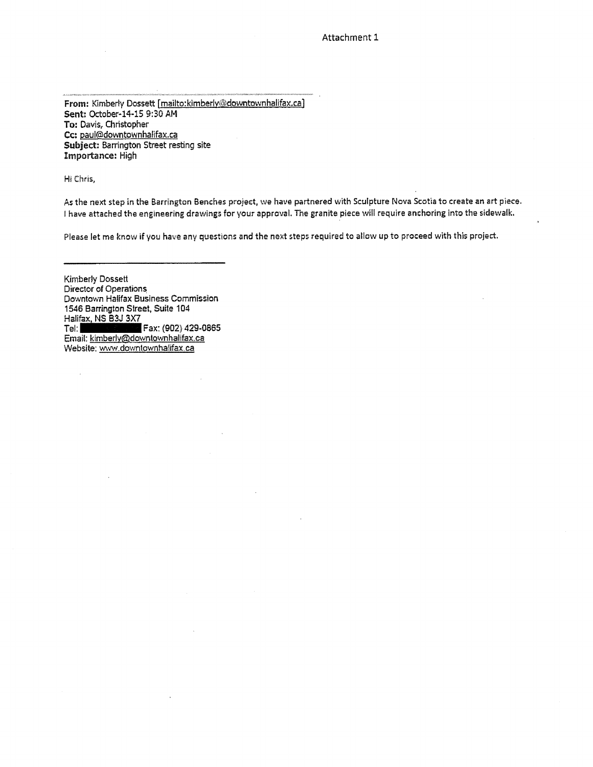From: Kimberly Dossett [mailto:kimberly@downtownhalifax.ca] Sent: October-14-15 9:30 AM To: Davis, Christopher Cc: paul@downtownhalifax.ca Subject: Barrington Street resting site Importance: High

Hi Chris,

As the next step in the Barrington Benches project, we have partnered with Sculpture Nova Scotia to create an art piece. I have attached the engineering drawings for your approval. The granite piece will require anchoring into the sidewalk,

Please let me know if you have any questions and the next steps required to allow up to proceed with this project.

Kimberly Dossett Director of Operations Downtown Halifax Business Commission 1546 Barrington Street, Suite 104 Halifax, NS B3J 3X7 Tel: Fax' (902) 429-0865 Email: kimberly@downtownhalifax.ca Website: www.downtownhalifax.ca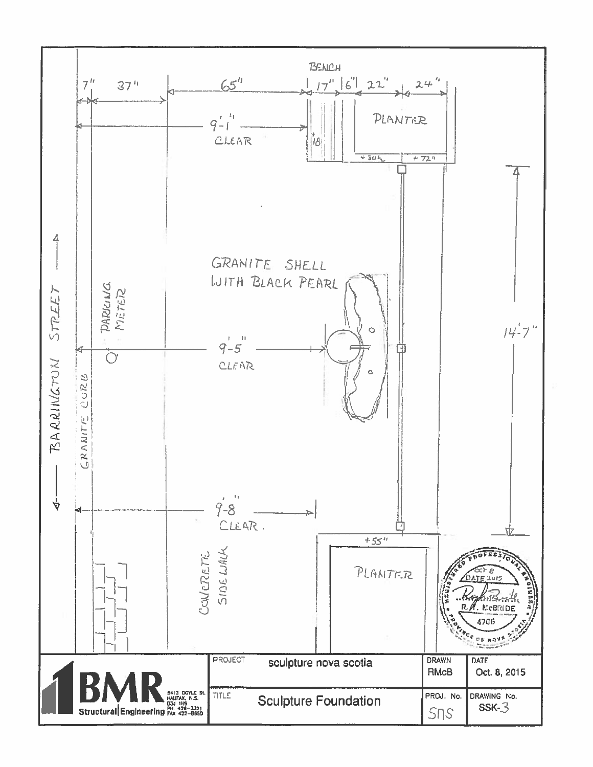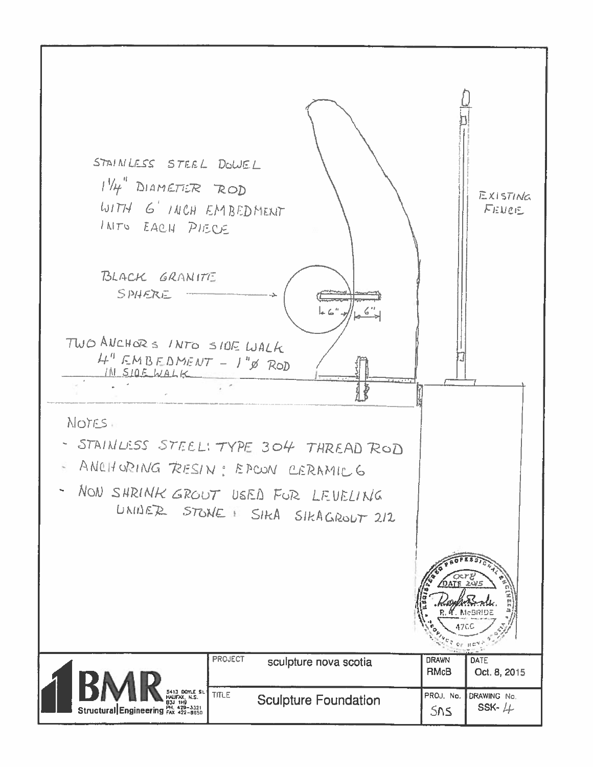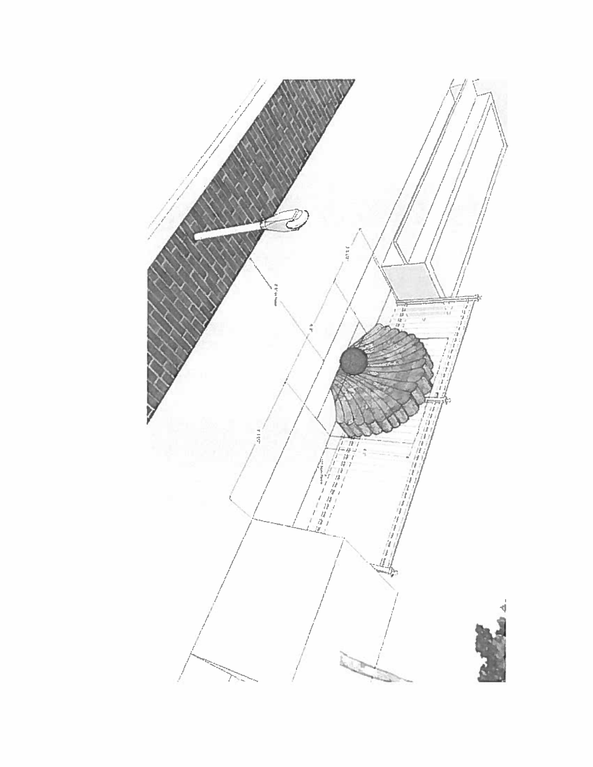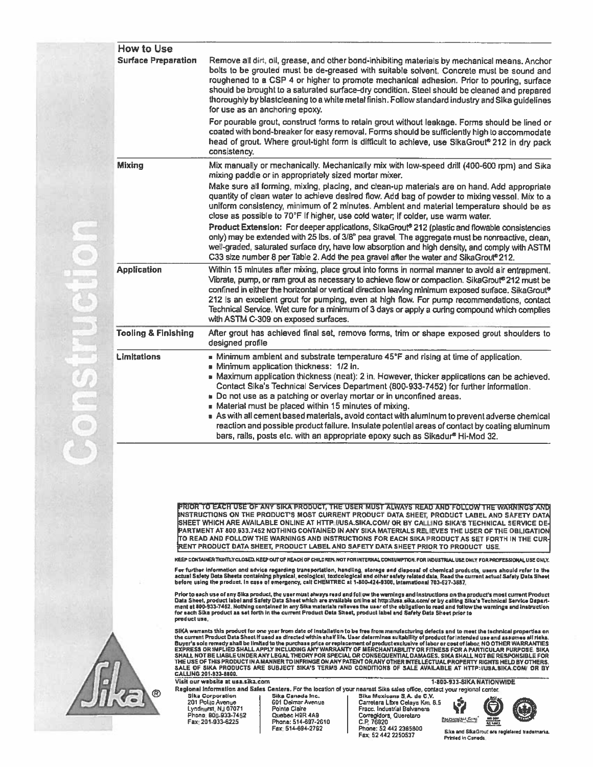| <b>How to Use</b><br><b>Surface Preparation</b> | Remove all dirt, oil, grease, and other bond-inhibiting materials by mechanical means. Anchor<br>bolts to be grouted must be de-greased with suitable solvent. Concrete must be sound and<br>roughened to a CSP 4 or higher to promote mechanical adhesion. Prior to pouring, surface<br>should be brought to a saturated surface-dry condition. Steel should be cleaned and prepared<br>thoroughly by blastcleaning to a white metal finish. Follow standard industry and Sika guidelines<br>for use as an anchoring epoxy.<br>For pourable grout, construct forms to retain grout without leakage. Forms should be lined or                                                                                                         |
|-------------------------------------------------|---------------------------------------------------------------------------------------------------------------------------------------------------------------------------------------------------------------------------------------------------------------------------------------------------------------------------------------------------------------------------------------------------------------------------------------------------------------------------------------------------------------------------------------------------------------------------------------------------------------------------------------------------------------------------------------------------------------------------------------|
|                                                 | coated with bond-breaker for easy removal. Forms should be sufficiently high to accommodate<br>head of grout. Where grout-tight form is difficult to achieve, use SikaGrout <sup>o</sup> 212 in dry pack<br>consistency.                                                                                                                                                                                                                                                                                                                                                                                                                                                                                                              |
| <b>Mixing</b>                                   | Mix manually or mechanically. Mechanically mix with low-speed drill (400-600 rpm) and Sika<br>mixing paddle or in appropriately sized mortar mixer.                                                                                                                                                                                                                                                                                                                                                                                                                                                                                                                                                                                   |
|                                                 | Make sure all forming, mixing, placing, and clean-up materials are on hand. Add appropriate<br>quantity of clean water to achieve desired flow. Add bag of powder to mixing vessel. Mix to a<br>uniform consistency, minimum of 2 minutes. Ambient and material temperature should be as<br>close as possible to 70°F If higher, use cold water; if colder, use warm water.                                                                                                                                                                                                                                                                                                                                                           |
|                                                 | Product Extension: For deeper applications, SikaGrout® 212 (plastic and flowable consistencies<br>only) may be extended with 25 lbs. of 3/8" pea gravel. The aggregate must be nonreactive, clean,<br>well-graded, saturated surface dry, have low absorption and high density, and comply with ASTM<br>C33 size number 8 per Table 2. Add the pea gravel after the water and SikaGrout® 212.                                                                                                                                                                                                                                                                                                                                         |
| <b>Application</b>                              | Within 15 minutes after mixing, place grout into forms in normal manner to avoid air entrapment.<br>Vibrate, purnp, or ram grout as necessary to achieve flow or compaction. SikaGrout <sup>o</sup> 212 must be<br>confined in either the horizontal or vertical direction leaving minimum exposed surface. SikaGrout®<br>212 is an excellent grout for pumping, even at high flow. For pump recommendations, contact<br>Technical Service. Wet cure for a minimum of 3 days or apply a curing compound which complies<br>with ASTM C-309 on exposed surfaces.                                                                                                                                                                        |
| <b>Tooling &amp; Finishing</b>                  | After grout has achieved final set, remove forms, trim or shape exposed grout shoulders to<br>designed profile                                                                                                                                                                                                                                                                                                                                                                                                                                                                                                                                                                                                                        |
| <b>Limitations</b>                              | - Minimum ambient and substrate temperature 45°F and rising at time of application.<br>Minimum application thickness: 1/2 in.<br>» Maximum application thickness (neat): 2 in. However, thicker applications can be achieved.<br>Contact Sika's Technical Services Department (800-933-7452) for further information.<br>Do not use as a patching or overlay mortar or in unconfined areas.<br>Material must be placed within 15 minutes of mixing.<br>As with all cement based materials, avoid contact with aluminum to prevent adverse chemical<br>reaction and possible product failure. Insulate potential areas of contact by coating aluminum<br>bars, rails, posts etc. with an appropriate epoxy such as Sikadur® Hi-Mod 32. |

PRIOR TO EACH USE OF ANY SIKA PRODUCT, THE USER MUST ALWAYS READ AND FOLLOW THE WARNINGS AND INSTRUCTIONS ON THE PRODUCT'S MOST CURRENT PRODUCT DATA SHEET, PRODUCT LABEL AND SAFETY DATA SHEET WHICH ARE AVAILABLE ONLINE AT HTTP://USA.SIKA.COM/ OR BY CALLING SIKA'S TECHNICAL SERVICE DE-PARTMENT AT 800 933.7452 NOTHING CONTAINED IN ANY SIKA MATERIALS RELIEVES THE USER OF THE OBLIGATION TO READ AND FOLLOW THE WARNINGS AND INSTRUCTIONS FOR EACH SIKA PRODUCT AS SET FORTH IN THE CUR-RENT PRODUCT DATA SHEET. PRODUCT LABEL AND SAFETY DATA SHEET PRIOR TO PRODUCT. USE

KEEP CONTAINER TIGHTLY CLOSED. KEEP OUT OF REACH OF CHILDREN. NOT FOR INTERNAL CONSUMPTION. FOR INDUSTRIAL USE ONLY, FOR PROFESSIONAL USE ONLY.

For further information and advice regarding transportation, handling, storage and disposal of chemical products, users ahould refer to the<br>actual Safety Data Sheets containing physical, ecological, toxicological and other

Prior to each use of any Sika product, the user must always read and follow the warnings and instructions on the product's most current Product<br>Data Sheet, product label and Safety Data Sheet which are available online at product use.

SIKA warrants this product for one year from date of Installation to be free from manufacturing defects and to meet the technical properties on<br>the current Product Data Sheet if used as directed within shelf life. User det

Sika Mexicana S.A. de C.V.

Fracc, Industrial Balvanera

Corregidora, Queretaro

Phone: 52 442 2385800

Fax: 52 442 2250537

C.P. 76920

Carretera Libre Celaya Km. 8.5

Visit our website at usa.sika.com

**Sika Corporation** 201 Polita Avenue Phone: 800-933-7452 Fax: 201-933-6225

Sika Canada Inc. 601 Delmar Avenue Pointe Claire Quebec H9R 4A9 Phone: 514-697-2610 Fax: 514-694-2792

1-800-933-SIKA NATIONWIDE Regional Information and Sales Centers. For the location of your nearest Sika sales office, contact your regional center.

W

**MAZUMALALI CARA** 

 $rac{100 - 3699}{100 - 6499}$ 

Sike and SikaGrout are registered trademarks. **Printed in Canada** 

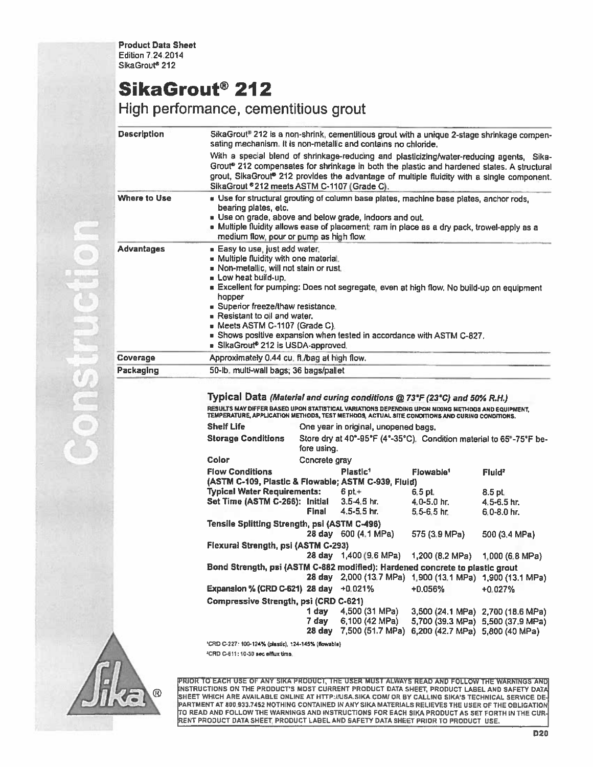**Product Data Sheet** Edition 7:24:2014 SikaGrout<sup>®</sup> 212

# SikaGrout<sup>®</sup> 212

# High performance, cementitious grout

| <b>Description</b> | SikaGrout <sup>®</sup> 212 is a non-shrink, cementitious grout with a unique 2-stage shrinkage compen-<br>sating mechanism. It is non-metallic and contains no chloride,                                                                                                                                                                                                                                                                                                    |                                                                                                                                                                                                                                                                                                                   |                                                                                             |                            |                                                                        |  |  |  |  |  |
|--------------------|-----------------------------------------------------------------------------------------------------------------------------------------------------------------------------------------------------------------------------------------------------------------------------------------------------------------------------------------------------------------------------------------------------------------------------------------------------------------------------|-------------------------------------------------------------------------------------------------------------------------------------------------------------------------------------------------------------------------------------------------------------------------------------------------------------------|---------------------------------------------------------------------------------------------|----------------------------|------------------------------------------------------------------------|--|--|--|--|--|
|                    | With a special blend of shrinkage-reducing and plasticizing/water-reducing agents, Sika-<br>Grout <sup>e</sup> 212 compensates for shrinkage in both the plastic and hardened states. A structural<br>grout, SikaGrout <sup>®</sup> 212 provides the advantage of multiple fluidity with a single component.<br>SikaGrout <sup>e</sup> 212 meets ASTM C-1107 (Grade C).                                                                                                     |                                                                                                                                                                                                                                                                                                                   |                                                                                             |                            |                                                                        |  |  |  |  |  |
| Where to Use       | bearing plates, etc.                                                                                                                                                                                                                                                                                                                                                                                                                                                        | Use for structural grouting of column base plates, machine base plates, anchor rods,<br>Use on grade, above and below grade, indoors and out.<br>. Multiple fluidity allows ease of placement: ram in place as a dry pack, trowel-apply as a<br>medium flow, pour or pump as high flow.                           |                                                                                             |                            |                                                                        |  |  |  |  |  |
| <b>Advantages</b>  | ■ Easy to use, just add water.<br>. Multiple fluidity with one material.<br>- Non-metallic, will not stain or rust.<br>n Low heat build-up.<br>Excellent for pumping: Does not segregate, even at high flow. No build-up on equipment<br>hopper<br>Buperior freeze/thaw resistance.<br>Resistant to oil and water.<br>Meets ASTM C-1107 (Grade C).<br>Shows positive expansion when tested in accordance with ASTM C-827.<br>■ SikaGrout <sup>®</sup> 212 is USDA-approved. |                                                                                                                                                                                                                                                                                                                   |                                                                                             |                            |                                                                        |  |  |  |  |  |
| Coverage           | Approximately 0.44 cu. ft./bag at high flow.                                                                                                                                                                                                                                                                                                                                                                                                                                |                                                                                                                                                                                                                                                                                                                   |                                                                                             |                            |                                                                        |  |  |  |  |  |
| Packaging          |                                                                                                                                                                                                                                                                                                                                                                                                                                                                             | 50-lb. multi-wall bags; 36 bags/pallet                                                                                                                                                                                                                                                                            |                                                                                             |                            |                                                                        |  |  |  |  |  |
|                    | <b>Shelf Life</b><br><b>Storage Conditions</b>                                                                                                                                                                                                                                                                                                                                                                                                                              | RESULTS MAY DIFFER BASED UPON STATISTICAL VARIATIONS DEPENDING UPON MIXING METHODS AND EQUIPMENT.<br>TEMPERATURE, APPLICATION METHODS, TEST METHODS, ACTUAL SITE CONDITIONS AND CURING CONDITIONS.<br>One year in original, unopened bags.<br>Store dry at 40°-95°F (4°-35°C). Condition material to 65"-75°F be- |                                                                                             |                            |                                                                        |  |  |  |  |  |
|                    |                                                                                                                                                                                                                                                                                                                                                                                                                                                                             | fore using.                                                                                                                                                                                                                                                                                                       |                                                                                             |                            |                                                                        |  |  |  |  |  |
|                    | Color                                                                                                                                                                                                                                                                                                                                                                                                                                                                       | Concrete gray                                                                                                                                                                                                                                                                                                     |                                                                                             |                            |                                                                        |  |  |  |  |  |
|                    | <b>Flow Conditions</b><br>(ASTM C-109, Plastic & Flowable; ASTM C-939, Fluid)                                                                                                                                                                                                                                                                                                                                                                                               |                                                                                                                                                                                                                                                                                                                   | Plastic <sup>1</sup>                                                                        | Flowable <sup>1</sup>      | Fluid <sup>2</sup>                                                     |  |  |  |  |  |
|                    | <b>Typical Water Requirements:</b><br>Set Time (ASTM C-266): Initial                                                                                                                                                                                                                                                                                                                                                                                                        |                                                                                                                                                                                                                                                                                                                   | $6$ pt. $+$<br>$3.5 - 4.5$ hr.                                                              | 6.5 pt.<br>$4.0 - 5.0$ hr. | 8.5 pt.<br>4.5-6.5 hr.                                                 |  |  |  |  |  |
|                    |                                                                                                                                                                                                                                                                                                                                                                                                                                                                             | <b>Final</b>                                                                                                                                                                                                                                                                                                      | $4.5 - 5.5$ hr.                                                                             | 5.5-6.5 hr.                | $6.0 - 8.0$ hr.                                                        |  |  |  |  |  |
|                    | Tensile Splitting Strength, psi (ASTM C-496)                                                                                                                                                                                                                                                                                                                                                                                                                                |                                                                                                                                                                                                                                                                                                                   |                                                                                             |                            |                                                                        |  |  |  |  |  |
|                    |                                                                                                                                                                                                                                                                                                                                                                                                                                                                             |                                                                                                                                                                                                                                                                                                                   | 28 day 600 (4.1 MPa)                                                                        | 575 (3.9 MPa)              | 500 (3.4 MPa)                                                          |  |  |  |  |  |
|                    | Flexural Strength, psi (ASTM C-293)                                                                                                                                                                                                                                                                                                                                                                                                                                         |                                                                                                                                                                                                                                                                                                                   |                                                                                             |                            |                                                                        |  |  |  |  |  |
|                    |                                                                                                                                                                                                                                                                                                                                                                                                                                                                             |                                                                                                                                                                                                                                                                                                                   | 28 day 1,400 (9.6 MPa)                                                                      | 1,200 (8.2 MPa)            | 1,000 (6.8 MPa)                                                        |  |  |  |  |  |
|                    | Bond Strength, psi (ASTM C-882 modified): Hardened concrete to plastic grout                                                                                                                                                                                                                                                                                                                                                                                                |                                                                                                                                                                                                                                                                                                                   | 28 day 2,000 (13.7 MPa) 1,900 (13.1 MPa) 1,900 (13.1 MPa)                                   |                            |                                                                        |  |  |  |  |  |
|                    | Expansion % (CRD C-621) 28 day +0.021%                                                                                                                                                                                                                                                                                                                                                                                                                                      |                                                                                                                                                                                                                                                                                                                   |                                                                                             | +0.056%                    | $+0.027%$                                                              |  |  |  |  |  |
|                    | <b>Compressive Strength, psi (CRD C-621)</b>                                                                                                                                                                                                                                                                                                                                                                                                                                | 1 day<br>7 day                                                                                                                                                                                                                                                                                                    | 4,500 (31 MPa)<br>6,100 (42 MPa)<br>28 day 7,500 (51.7 MPa) 6,200 (42.7 MPa) 5,800 (40 MPa) |                            | 3,500 (24.1 MPa) 2,700 (18.6 MPa)<br>5,700 (39.3 MPa) 5,500 (37.9 MPa) |  |  |  |  |  |
|                    | <sup>1</sup> CRD C-227: 100-124% (plastic), 124-145% (flowable)                                                                                                                                                                                                                                                                                                                                                                                                             |                                                                                                                                                                                                                                                                                                                   |                                                                                             |                            |                                                                        |  |  |  |  |  |
|                    | <sup>2</sup> CRD C-611: 10-30 sec efflux time.                                                                                                                                                                                                                                                                                                                                                                                                                              |                                                                                                                                                                                                                                                                                                                   |                                                                                             |                            |                                                                        |  |  |  |  |  |



PRIOR TO EACH USE OF ANY SIKA PRODUCT, THE USER MUST ALWAYS READ AND FOLLOW THE WARNINGS AND INSTRUCTIONS ON THE PRODUCT'S MOST CURRENT PRODUCT DATA SHEET, PRODUCT LABEL AND SAFETY DATA SHEET WHICH ARE AVAILABLE ONLINE AT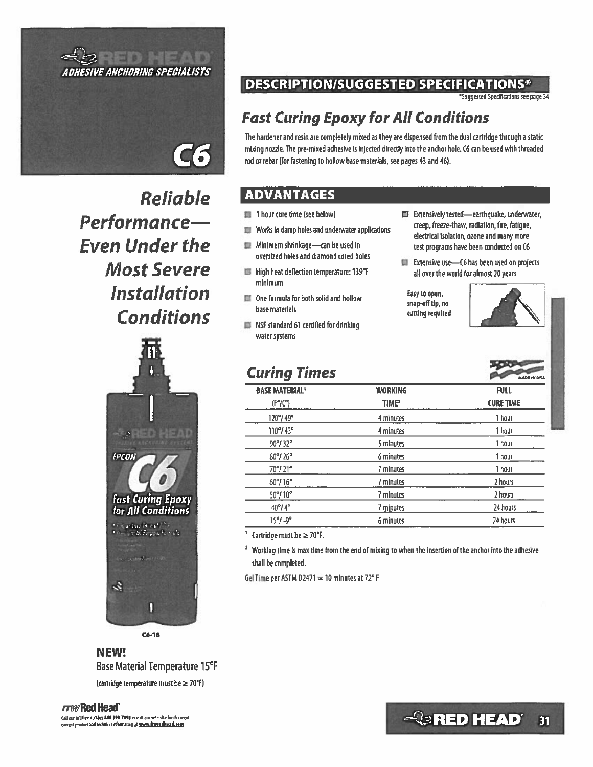

Reliable Performance-**Even Under the Most Severe Installation Conditions** 

 $\epsilon$ 





NEW! **Base Material Temperature 15°F** (cartridge temperature must be ≥ 70°F)

### **DESCRIPTION/SUGGESTED SPECIFICATIONS\***

Suggested Specifications see page 34

# **Fast Curing Epoxy for All Conditions**

The hardener and resin are completely mixed as they are dispensed from the dual cartridge through a static mixing nozzle. The pre-mixed adhesive is injected directly into the anchor hole. C6 can be used with threaded rod or rebar (for fastening to hollow base materials, see pages 43 and 46).

### **ADVANTAGES**

- 1 hour cure time (see below)
- Works in damp holes and underwater applications
- Minimum shrinkage-can be used in oversized holes and diamond cored holes
- **IS High heat deflection temperature: 139°F** minimum
- One formula for both solid and hollow base materials
- NSF standard 61 certified for drinking water systems

# **Curing Times**

- EF Extensively tested-earthquake, underwater, creep, freeze-thaw, radiation, fire, fatique, electrical isolation, ozone and many more test programs have been conducted on C6
- Extensive use-C6 has been used on projects all over the world for almost 20 years

Easy to open, snap-off tip, no cutting required





| . .                      |                   |                  |
|--------------------------|-------------------|------------------|
| <b>BASE MATERIAL'</b>    | <b>WORKING</b>    | <b>FULL</b>      |
| $(F^{\circ}/C^{\circ})$  | TIME <sup>2</sup> | <b>CURE TIME</b> |
| $120^{\circ}/49^{\circ}$ | 4 minutes         | 1 hour           |
| $110^{\circ}/43^{\circ}$ | 4 minutes         | 1 hour           |
| 90°/32°                  | 5 minutes         | 1 hour           |
| $80^\circ/26^\circ$      | 6 minutes         | 1 hour           |
| 70°/21°                  | 7 minutes         | 1 hour           |
| $60^{\circ}/16^{\circ}$  | 7 minutes         | 2 hours          |
| 50°/10°                  | 7 minutes         | 2 hours          |
| $40^{\circ}/4^{\circ}$   | 7 minutes         | 24 hours         |
| $15^{\circ}/-9^{\circ}$  | 6 minutes         | 24 hours         |

<sup>1</sup> Cartridge must be  $\geq 70^{\circ}$ F.

<sup>2</sup> Working time Is max time from the end of mixing to when the insertion of the anchor into the adhesive shall be completed.

Gel Time per ASTM D2471 = 10 minutes at 72° F

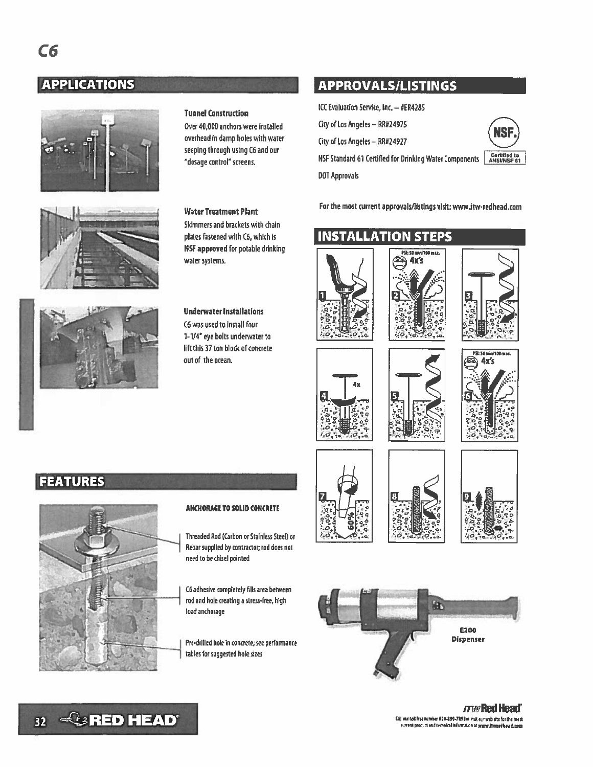### **APPLICATIONS**



#### **Tunnel Construction**

Over 40,000 anchors were installed overhead in damp holes with water seeping through using C6 and our "dosage control" screens.



**Water Treatment Plant** Skimmers and brackets with chain plates fastened with C6, which is NSF approved for potable drinking water systems.



**FEATURES** 

#### **Underwater Installations** C6 was used to install four 1-1/4" eye bolts underwater to lift this 37 ton block of concrete out of the ocean.

### **APPROVALS/LISTINGS**

ICC Evaluation Service, Inc. - #ER4285

City of Los Angeles - RR#24975

City of Los Angeles - RR#24927

NSF Standard 61 Certified for Drinking Water Components

DOT Approvals



For the most current approvals/listings visit: www.itw-redhead.com





**ITWRed Head** Call our toll free number 008-899-7890 or visit our with site for the most current product and technical information at www.fromedhead.com



### **ANCHORAGE TO SOLID CONCRETE**

Threaded Rod (Carbon or Stainless Steel) or Rebar supplied by contractor; rod does not need to be chisel pointed

C6 adhesive completely fills area between rod and hole creating a stress-free, high load anchorage

Pre-drilled hole in concrete, see performance tables for suggested hole sizes

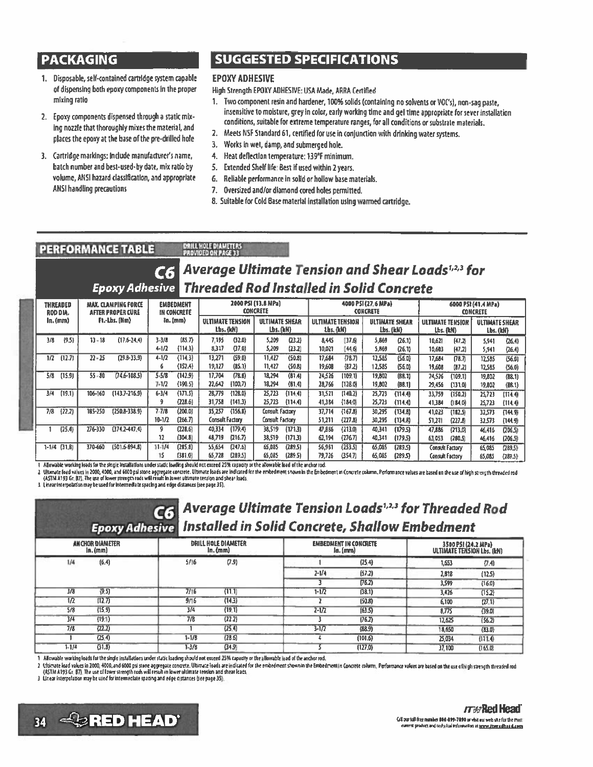### **PACKAGING**

- 1. Disposable, self-contained cartridge system capable of dispensing both epoxy components in the proper mixing ratio
- 2. Epoxy components dispensed through a static mixing nozzle that thoroughly mixes the material, and places the epoxy at the base of the pre-drilled hole
- 3. Cartridge markings: Include manufacturer's name, batch number and best-used-by date, mix ratio by volume, ANSI hazard classification, and appropriate **ANSI handling precautions**

## **SUGGESTED SPECIFICATIONS**

#### **EPOXY ADHESIVE**

High Strength EPOXY ADHESIVE: USA Made, ARRA Certified

- 1. Two component resin and hardener, 100% solids (containing no solvents or VOC's), non-sag paste, insensitive to moisture, grey in color, early working time and gel time appropriate for sever installation conditions, suitable for extreme temperature ranges, for all conditions or substrate materials.
- 2. Meets NSF Standard 61, certified for use in conjunction with drinking water systems.
- 3. Works in wet, damp, and submerged hole.
- 4. Heat deflection temperature: 139°F minimum.
- 5. Extended Shelf life: Best if used within 2 years.
- 6. Reliable performance in solid or hollow base materials.
- 7. Oversized and/or diamond cored holes permitted.
- 8. Suitable for Cold Base material installation using warmed cartridge.

### **PERFORMANCE TABLE**

# DRILL HOLE DIAMETERS<br>Provided on Page 33

### G<sub>6</sub> Average Ultimate Tension and Shear Loads<sup>1,2,3</sup> for **Epoxy Adhesive Threaded Rod Installed in Solid Concrete**

| <b>THREADED</b> |        |           | <b>MAX. CLAMPING FORCE</b> |            | <b>EMBEDMENT</b> |                 | 2000 PSI (13.8 MPa)                  |                 |         | 4000 PSI (27.6 MPa) |                                    |        |                                      | 6000 PSI (41,4 MPa)                     |         |                                      |         |                                    |  |
|-----------------|--------|-----------|----------------------------|------------|------------------|-----------------|--------------------------------------|-----------------|---------|---------------------|------------------------------------|--------|--------------------------------------|-----------------------------------------|---------|--------------------------------------|---------|------------------------------------|--|
| ROD DIA.        |        |           | AFTER PROPER CURE          |            | IN CONCRETE      |                 | <b>CONCRETE</b>                      |                 |         |                     | <b>CONCRETE</b>                    |        |                                      | <b>CONCRETE</b>                         |         |                                      |         |                                    |  |
| In. (mm)        |        |           | $F1$ . Lbs. $(Mm)$         |            | $\ln \{mn\}$     |                 | <b>ULTIMATE TENSION</b><br>Lbs. (kN) |                 |         |                     | <b>ULTIMATE SHEAR</b><br>Lbs. (kN) |        | <b>ULTIMATE TENSION</b><br>Lbs. (kM) | <b>ULTIMATE SHEAR</b><br>$Lb$ s. $(kN)$ |         | <b>ULTIMATE TENSION</b><br>Lbs. (kN) |         | <b>ULTIMATE SHEAR</b><br>Lbs. (kH) |  |
| 3/5             | (9.5)  | $13 - 18$ | $(17.6 - 24.4)$            | $3 - 3/8$  | (RS, 7)          | 7.195           | (32.0)                               | 5,209           | (23.2)  | 8.445               | [37.6]                             | 5.869  | (26.1)                               | 10,621                                  | (47.2)  | 5,941                                | (26.4)  |                                    |  |
|                 |        |           |                            | $+1/2$     | (114.3)          | 8,317           | (37.0)                               | 5,209           | (23.2)  | 10,021              | (44.6)                             | 5,869  | (26.1)                               | 10,603                                  | (47.2)  | 5,941                                | (26.4)  |                                    |  |
| 1/2             | (12.7) | $22 - 25$ | $(29.8 - 33.9)$            | $4 - 1/2$  | (114.3)          | 13,271          | (59.0)                               | 11,427          | (50.8)  | 17,684              | (78.7)                             | 12,585 | (56.0)                               | 17,684                                  | (78.7)  | 12.585                               | (36.0)  |                                    |  |
|                 |        |           |                            | Ō.         | (152.4)          | 19,127          | (85.1)                               | 11,427          | (50.8)  | 19,608              | ${37.2}$                           | 12,585 | (56.0)                               | 19,608                                  | (87.2)  | 12,585                               | (56.0)  |                                    |  |
| 5/8             | (15.9) | $55 - 80$ | $(74.6 - 108.5)$           | $5 - 5/8$  | (142.9)          | 17,704          | (78.6)                               | 18,294          | (61.4)  | 24,526              | 109.1)                             | 19,802 | (B.1)                                | 24,526                                  | (109.1) | 19,802                               | (88.1)  |                                    |  |
|                 |        |           |                            | 7-1/2      | (190.5)          | 22,642          | (100.7)                              | 18,294          | (61.4)  | 28,766              | (128.0)                            | 19,802 | (B8.1)                               | 29,456                                  | (131.0) | 19,802                               | (86.1)  |                                    |  |
| 3/4             | (19.1) | 106-160   | $(143.7 - 216.9)$          | $6 - 3/4$  | (171.5)          | 28.779          | (128.0)                              | 25,723          | (114.4) | 31,521              | (140.2)                            | 25,723 | (114.4)                              | 33.759                                  | (150.2) | 25,723                               | (114.4) |                                    |  |
|                 |        |           |                            |            | (228.6)          | 31,758          | (141.3)                              | 25,723          | (114.4) | 41,384              | [184.0]                            | 25,723 | (114.4)                              | 41,384                                  | (184.0) | 25,723                               | (114.4) |                                    |  |
| 7/8             | (22.2) | 185-250   | $(250.8 - 338.9)$          | $7 - 7/8$  | (200.0)          | 35,257          | (156.8)                              | Consult Factory |         | 37,714              | (167.3)                            | 30,295 | (134.8)                              | 41,023                                  | (182.5) | 32,573                               | (144.9) |                                    |  |
|                 |        |           |                            | $10 - 1/2$ | (266.7)          | Consult Factory |                                      | Consult Factory |         | 51,211              | (227.8)                            | 30,295 | (134.8)                              | 51,211                                  | (227.8) | 32,573                               | (141.9) |                                    |  |
|                 | (25.4) | 276-330   | $(374.2 - 447.4)$          | 9          | (228.6)          | 40,334          | (179.4)                              | 38,519          | (171.3) | 47,886              | (213.0)                            | 40,341 | (179.5)                              | 47,886                                  | (213.0) | 46.416                               | (206.5) |                                    |  |
|                 |        |           |                            | 12         | (304.8)          | 48.719          | (216.7)                              | 38,519          | (1713)  | 62,194              | (276.7)                            | 40,341 | (179.5)                              | 63.053                                  | (280.5) | 46,416                               | (206.5) |                                    |  |
| $1 - 1/4$       | (31.8) | 370-660   | $(501.6 - 894.8)$          | $11 - 1/4$ | (285.8)          | 55,654          | (247.6)                              | 65,085          | (289.5) | 56,981              | (253.5)                            | 65,085 | (289.5)                              | Consult Factory                         |         | 65,085                               | (289.5) |                                    |  |
|                 |        |           |                            | 15         | (381.0)          | 65.728          | (289.S                               | 65,085          | (289.5) | 79,726              | (354.7)                            | 65,085 | (289.5)                              | <b>Consult Factory</b>                  |         | 65,085                               | (289.5) |                                    |  |

Allowable working loads for the single Installations under static loading should not exceed 25% capacity or the allowable load of the anchor rod.

2 Ultimate load values in 2000, 4000, and 6000 psi stone aggregate concrete. Ultimate loads are inclused for the embedment shown in the Embedment in Concrete column. Performance values are based on the use of high stength

3 Linear Interpolation may be used for intermediate spacing and edge distances (see page 35).

| <b>CG</b> Average Ultimate Tension Loads <sup>1,2,3</sup> for Threaded Rod<br>Epoxy Adhesive Installed in Solid Concrete, Shallow Embedment |        |                                        |        |           |                                          |                                                    |         |  |
|---------------------------------------------------------------------------------------------------------------------------------------------|--------|----------------------------------------|--------|-----------|------------------------------------------|----------------------------------------------------|---------|--|
| <b>ANCHOR DIAMETER</b><br>$\ln(\text{mm})$                                                                                                  |        | <b>DRILL HOLE DIAMETER</b><br>ln. (mm) |        |           | <b>EMBEDMENT IN CONCRETE</b><br>la. (mm) | 3500 PSI (24.2 MPa)<br>ULTIMATE TENSION Lbs. (IcN) |         |  |
| 1/4                                                                                                                                         | (6.4)  | 5/16                                   | (7.9)  |           | (25.4)                                   | 1.653                                              | (7.4)   |  |
|                                                                                                                                             |        |                                        |        | $2 - 1/4$ | (57.2)                                   | 2.818                                              | (125)   |  |
|                                                                                                                                             |        |                                        |        |           | (76.2)                                   | 3.599                                              | (16.0)  |  |
| 3/B                                                                                                                                         | (9.5)  | 7/16                                   | (11.1) | $1-1/2$   | (38.1)                                   | 3.426                                              | (15.2)  |  |
| 1/2                                                                                                                                         | 112.71 | 9/16                                   | (14.3) |           | (50.8)                                   | 6.100                                              | (27.1)  |  |
| 5/8                                                                                                                                         | (15.9) | 3/4                                    | (19.1) | $2 - 1/2$ | (63.5)                                   | 8.775                                              | (39.0)  |  |
| 3/4                                                                                                                                         | (19.1) | 7/8                                    | (22.2) |           | 176,23                                   | 12.625                                             | (56.2)  |  |
| 7/8                                                                                                                                         | (22.2) |                                        | (25.4) | $3-1/2$   | (88.9)                                   | 18,650                                             | (83.0)  |  |
|                                                                                                                                             | (25.4) | $1 - 1/B$                              | (28.6) |           | (101.6)                                  | 25,034                                             | (111.4) |  |
| $1 - 1/4$                                                                                                                                   | (31.3) | $1 - 3/8$                              | (34.9) |           | (127.0)                                  | 37.100                                             | (165.0) |  |

1 Allowable working loads for the single installations under static loading should not exceed 25% capacity or the allowable load of the anchor rod.

2 Ultimate load values in 2000,4050,and 6000 psi stone appregate concrete. Ultimate loads are indicated for the embedment shown in the Embedment Incorete column, Performance values are based on the use of high strength tre

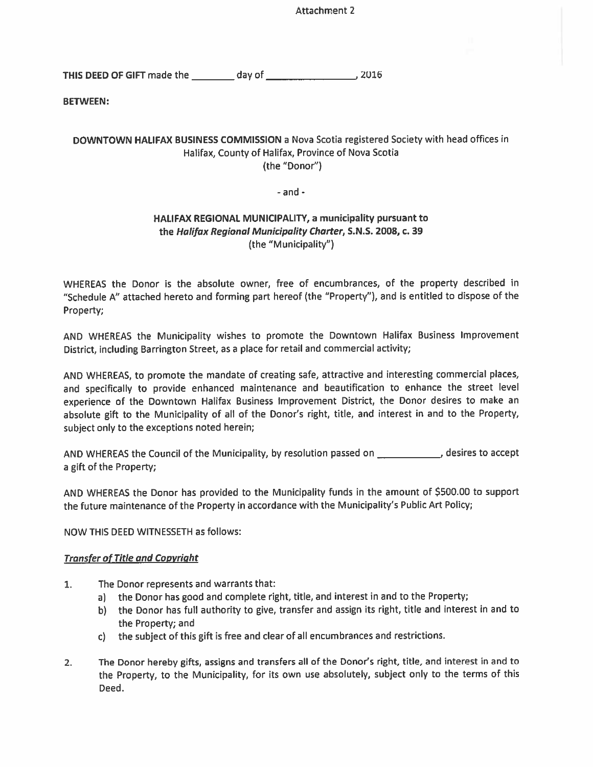#### **Attachment 2**

**BETWEEN:** 

#### DOWNTOWN HALIFAX BUSINESS COMMISSION a Nova Scotia registered Society with head offices in Halifax, County of Halifax, Province of Nova Scotia (the "Donor")

 $-$ and $-$ 

#### HALIFAX REGIONAL MUNICIPALITY, a municipality pursuant to the Halifax Regional Municipality Charter, S.N.S. 2008, c. 39 (the "Municipality")

WHEREAS the Donor is the absolute owner, free of encumbrances, of the property described in "Schedule A" attached hereto and forming part hereof (the "Property"), and is entitled to dispose of the Property;

AND WHEREAS the Municipality wishes to promote the Downtown Halifax Business Improvement District, including Barrington Street, as a place for retail and commercial activity;

AND WHEREAS, to promote the mandate of creating safe, attractive and interesting commercial places, and specifically to provide enhanced maintenance and beautification to enhance the street level experience of the Downtown Halifax Business Improvement District, the Donor desires to make an absolute gift to the Municipality of all of the Donor's right, title, and interest in and to the Property, subject only to the exceptions noted herein;

AND WHEREAS the Council of the Municipality, by resolution passed on \_\_\_\_\_\_\_\_\_\_\_\_\_, desires to accept a gift of the Property;

AND WHEREAS the Donor has provided to the Municipality funds in the amount of \$500.00 to support the future maintenance of the Property in accordance with the Municipality's Public Art Policy;

**NOW THIS DEED WITNESSETH as follows:** 

#### **Transfer of Title and Copyright**

- 1. The Donor represents and warrants that:
	- a) the Donor has good and complete right, title, and interest in and to the Property;
	- b) the Donor has full authority to give, transfer and assign its right, title and interest in and to the Property; and
	- c) the subject of this gift is free and clear of all encumbrances and restrictions.
- The Donor hereby gifts, assigns and transfers all of the Donor's right, title, and interest in and to  $2.$ the Property, to the Municipality, for its own use absolutely, subject only to the terms of this Deed.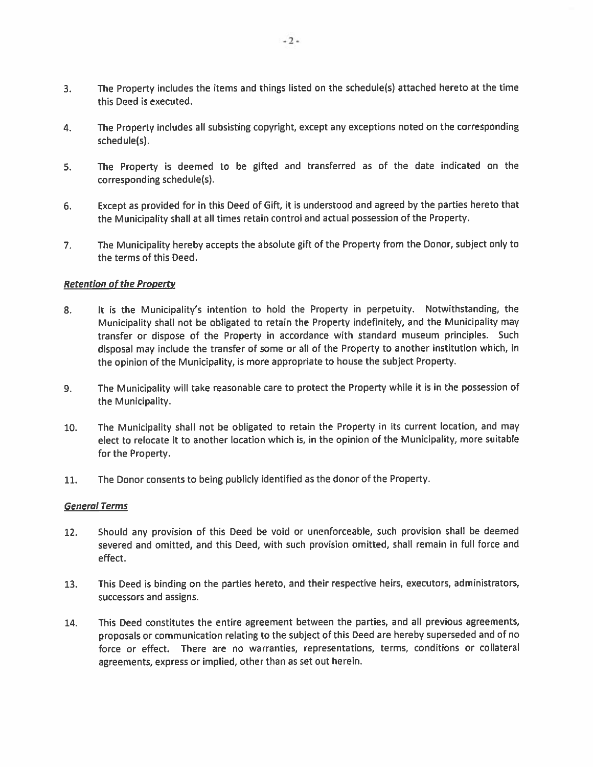- The Property includes the items and things listed on the schedule(s) attached hereto at the time  $3<sub>1</sub>$ this Deed is executed.
- $\overline{a}$ . The Property includes all subsisting copyright, except any exceptions noted on the corresponding schedule(s).
- The Property is deemed to be gifted and transferred as of the date indicated on the 5. corresponding schedule(s).
- Except as provided for in this Deed of Gift, it is understood and agreed by the parties hereto that 6. the Municipality shall at all times retain control and actual possession of the Property.
- The Municipality hereby accepts the absolute gift of the Property from the Donor, subject only to  $7.$ the terms of this Deed.

#### **Retention of the Property**

- It is the Municipality's intention to hold the Property in perpetuity. Notwithstanding, the 8. Municipality shall not be obligated to retain the Property indefinitely, and the Municipality may transfer or dispose of the Property in accordance with standard museum principles. Such disposal may include the transfer of some or all of the Property to another institution which, in the opinion of the Municipality, is more appropriate to house the subject Property.
- The Municipality will take reasonable care to protect the Property while it is in the possession of 9. the Municipality.
- The Municipality shall not be obligated to retain the Property in its current location, and may  $10.$ elect to relocate it to another location which is, in the opinion of the Municipality, more suitable for the Property.
- The Donor consents to being publicly identified as the donor of the Property. 11.

#### **General Terms**

- $12.$ Should any provision of this Deed be void or unenforceable, such provision shall be deemed severed and omitted, and this Deed, with such provision omitted, shall remain in full force and effect.
- This Deed is binding on the parties hereto, and their respective heirs, executors, administrators, 13. successors and assigns.
- This Deed constitutes the entire agreement between the parties, and all previous agreements, 14. proposals or communication relating to the subject of this Deed are hereby superseded and of no force or effect. There are no warranties, representations, terms, conditions or collateral agreements, express or implied, other than as set out herein.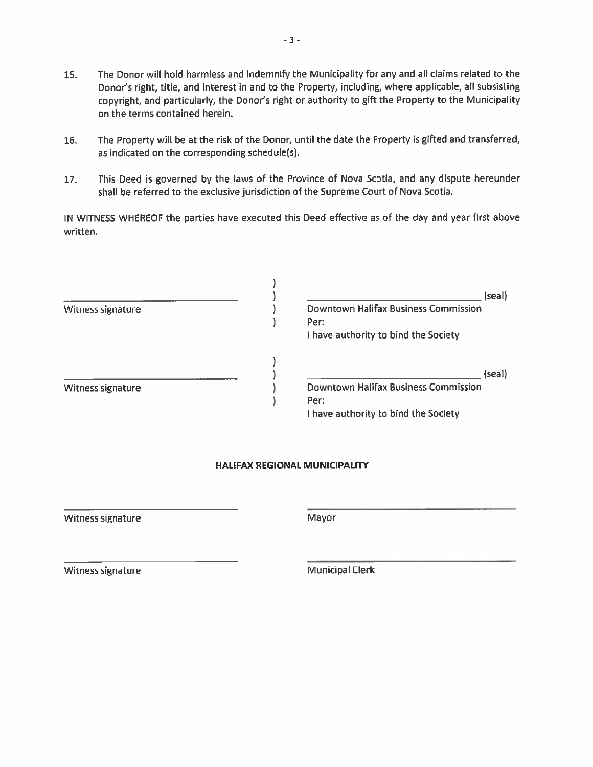- The Donor will hold harmless and indemnify the Municipality for any and all claims related to the 15. Donor's right, title, and interest in and to the Property, including, where applicable, all subsisting copyright, and particularly, the Donor's right or authority to gift the Property to the Municipality on the terms contained herein.
- The Property will be at the risk of the Donor, until the date the Property is gifted and transferred,  $16.$ as indicated on the corresponding schedule(s).
- This Deed is governed by the laws of the Province of Nova Scotia, and any dispute hereunder 17. shall be referred to the exclusive jurisdiction of the Supreme Court of Nova Scotia.

IN WITNESS WHEREOF the parties have executed this Deed effective as of the day and year first above written.

| Witness signature | (seal)<br><b>Downtown Halifax Business Commission</b>                                     |
|-------------------|-------------------------------------------------------------------------------------------|
|                   | Per:<br>I have authority to bind the Society                                              |
|                   | (seal)                                                                                    |
| Witness signature | <b>Downtown Halifax Business Commission</b><br>Per:<br>have authority to bind the Society |

#### **HALIFAX REGIONAL MUNICIPALITY**

Witness signature

Mayor

Witness signature

**Municipal Clerk**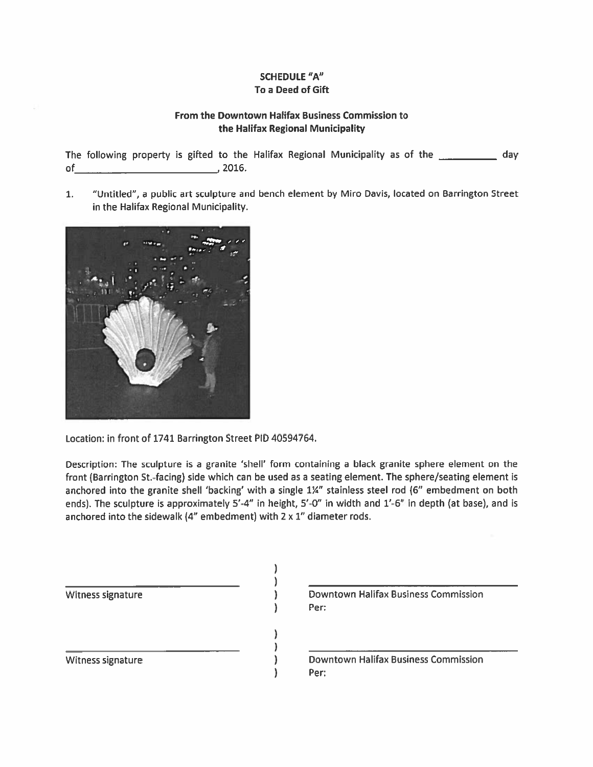#### **SCHEDULE "A"** To a Deed of Gift

#### From the Downtown Halifax Business Commission to the Halifax Regional Municipality

The following property is gifted to the Halifax Regional Municipality as of the \_\_\_\_\_\_\_\_\_\_\_\_ day of 2016.

"Untitled", a public art sculpture and bench element by Miro Davis, located on Barrington Street  $1.$ in the Halifax Regional Municipality.



Location: in front of 1741 Barrington Street PID 40594764.

Description: The sculpture is a granite 'shell' form containing a black granite sphere element on the front (Barrington St.-facing) side which can be used as a seating element. The sphere/seating element is anchored into the granite shell 'backing' with a single 1%" stainless steel rod (6" embedment on both ends). The sculpture is approximately 5'-4" in height, 5'-0" in width and 1'-6" in depth (at base), and is anchored into the sidewalk (4" embedment) with  $2 \times 1$ " diameter rods.

> 1 1

> )

Witness signature  $\mathcal{F}$  $\mathcal{F}$  $\mathcal{V}$ Witness signature  $\lambda$  $\mathcal{F}$ 

Downtown Halifax Business Commission Per:

**Downtown Halifax Business Commission** Per: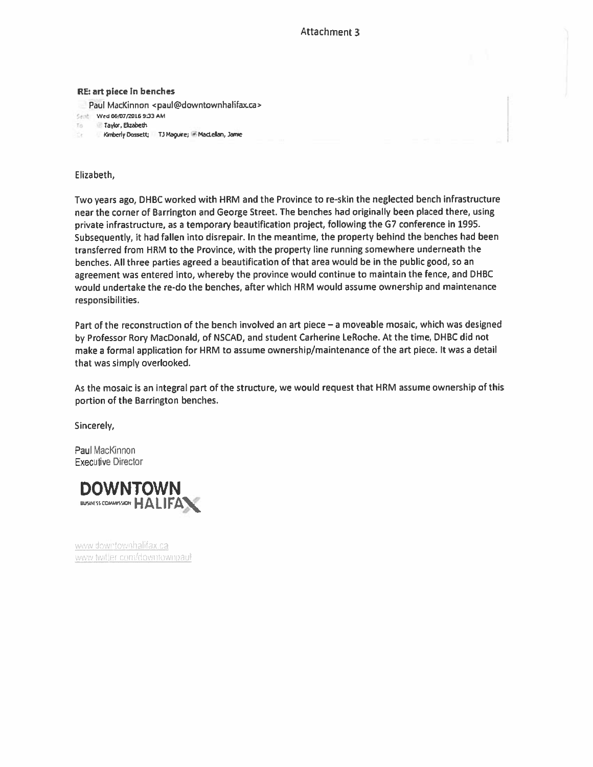#### **RE: art piece in benches**

Paul MacKinnon <paul@downtownhalifax.ca> Sent Wed 06/07/2016 9:33 AM To Taylor, Elizabeth Kimberly Dossett; TJ Maguire; MacLellan, Jamie S.

#### Elizabeth,

Two years ago, DHBC worked with HRM and the Province to re-skin the neglected bench infrastructure near the corner of Barrington and George Street. The benches had originally been placed there, using private infrastructure, as a temporary beautification project, following the G7 conference in 1995. Subsequently, it had fallen into disrepair. In the meantime, the property behind the benches had been transferred from HRM to the Province, with the property line running somewhere underneath the benches. All three parties agreed a beautification of that area would be in the public good, so an agreement was entered into, whereby the province would continue to maintain the fence, and DHBC would undertake the re-do the benches, after which HRM would assume ownership and maintenance responsibilities.

Part of the reconstruction of the bench involved an art piece - a moveable mosaic, which was designed by Professor Rory MacDonald, of NSCAD, and student Carherine LeRoche. At the time, DHBC did not make a formal application for HRM to assume ownership/maintenance of the art piece. It was a detail that was simply overlooked.

As the mosaic is an integral part of the structure, we would request that HRM assume ownership of this portion of the Barrington benches.

Sincerely,

Paul MacKinnon **Executive Director** 



www.downfownhalifax.ca www.twitler.com/downtownpaul.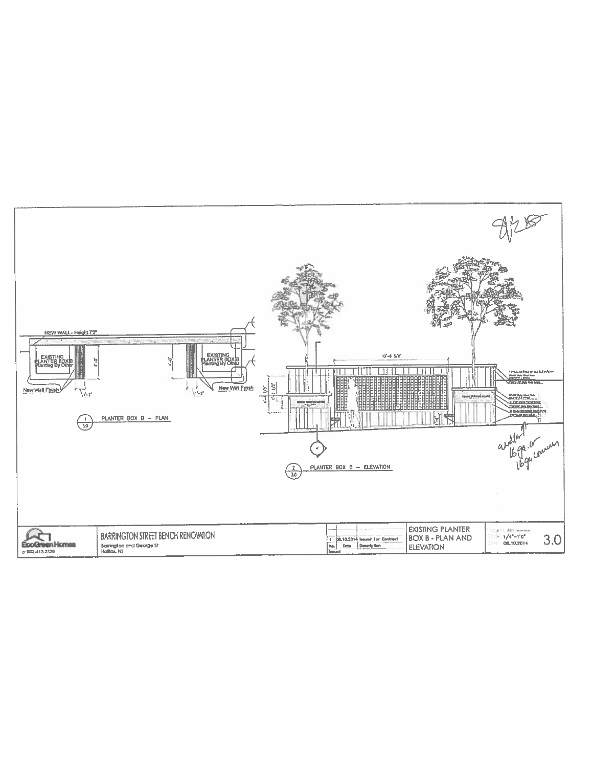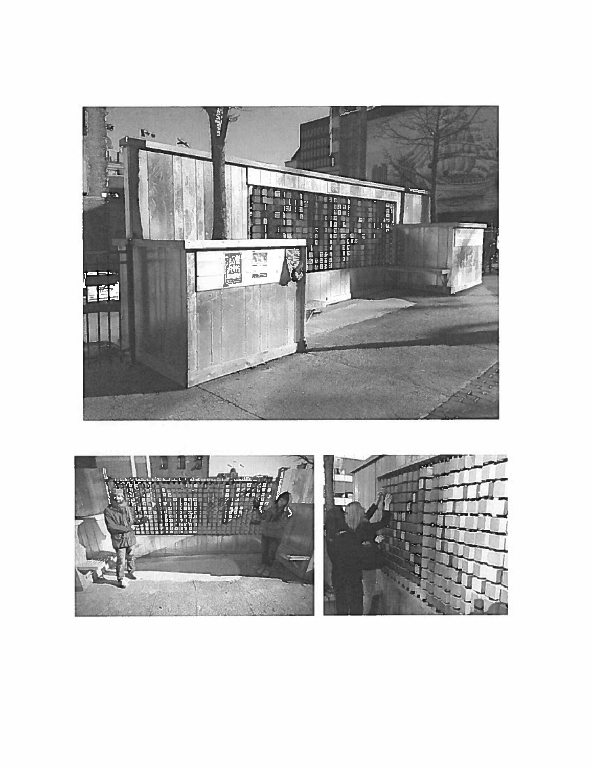

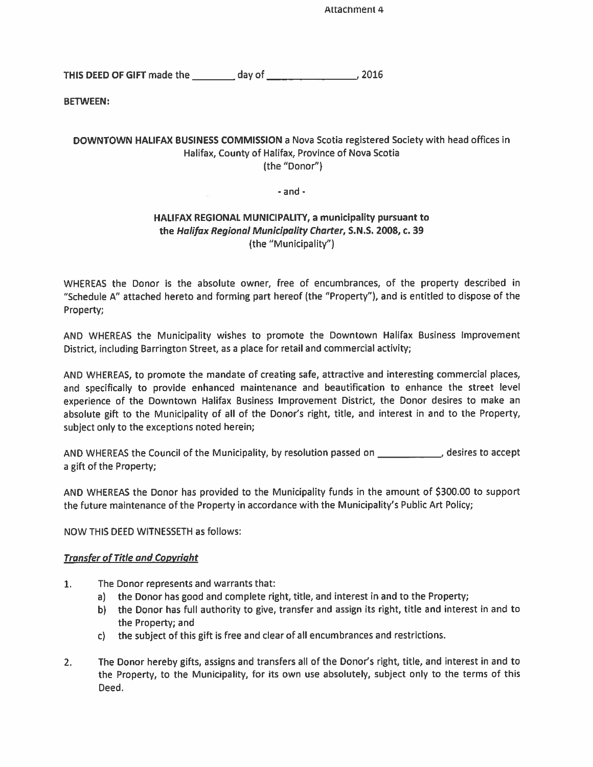#### **Attachment 4**

**BETWEEN:** 

#### DOWNTOWN HALIFAX BUSINESS COMMISSION a Nova Scotia registered Society with head offices in Halifax, County of Halifax, Province of Nova Scotia (the "Donor")

 $-$ and $-$ 

#### HALIFAX REGIONAL MUNICIPALITY, a municipality pursuant to the Halifax Regional Municipality Charter, S.N.S. 2008, c. 39 (the "Municipality")

WHEREAS the Donor is the absolute owner, free of encumbrances, of the property described in "Schedule A" attached hereto and forming part hereof (the "Property"), and is entitled to dispose of the Property;

AND WHEREAS the Municipality wishes to promote the Downtown Halifax Business Improvement District, including Barrington Street, as a place for retail and commercial activity;

AND WHEREAS, to promote the mandate of creating safe, attractive and interesting commercial places, and specifically to provide enhanced maintenance and beautification to enhance the street level experience of the Downtown Halifax Business Improvement District, the Donor desires to make an absolute gift to the Municipality of all of the Donor's right, title, and interest in and to the Property, subject only to the exceptions noted herein;

AND WHEREAS the Council of the Municipality, by resolution passed on \_\_\_\_\_\_\_\_\_\_\_\_\_, desires to accept a gift of the Property;

AND WHEREAS the Donor has provided to the Municipality funds in the amount of \$300.00 to support the future maintenance of the Property in accordance with the Municipality's Public Art Policy;

NOW THIS DEED WITNESSETH as follows:

#### **Transfer of Title and Copyright**

- 1. The Donor represents and warrants that:
	- a) the Donor has good and complete right, title, and interest in and to the Property;
	- b) the Donor has full authority to give, transfer and assign its right, title and interest in and to the Property; and
	- c) the subject of this gift is free and clear of all encumbrances and restrictions.
- The Donor hereby gifts, assigns and transfers all of the Donor's right, title, and interest in and to  $2.$ the Property, to the Municipality, for its own use absolutely, subject only to the terms of this Deed.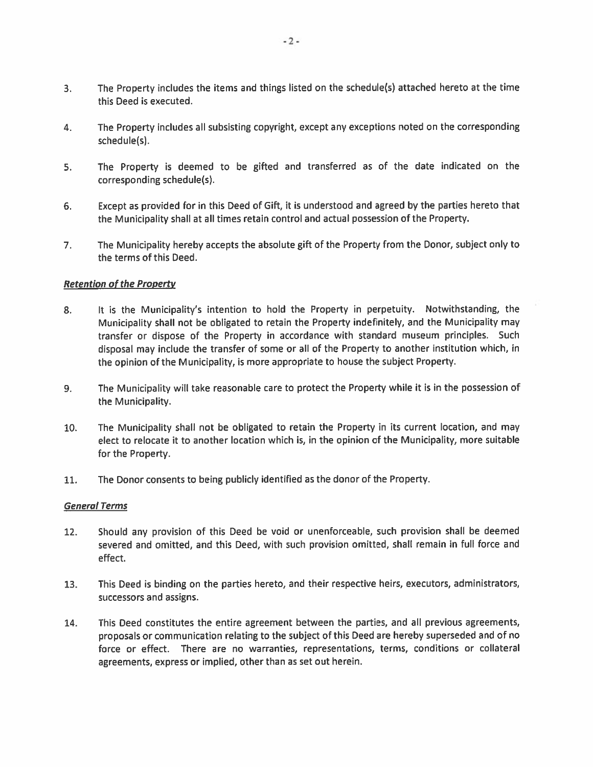- The Property includes the items and things listed on the schedule(s) attached hereto at the time  $\overline{3}$ this Deed is executed.
- 4. The Property includes all subsisting copyright, except any exceptions noted on the corresponding schedule(s).
- The Property is deemed to be gifted and transferred as of the date indicated on the 5. corresponding schedule(s).
- Except as provided for in this Deed of Gift, it is understood and agreed by the parties hereto that 6. the Municipality shall at all times retain control and actual possession of the Property.
- The Municipality hereby accepts the absolute gift of the Property from the Donor, subject only to  $7.$ the terms of this Deed.

#### **Retention of the Property**

- 8. It is the Municipality's intention to hold the Property in perpetuity. Notwithstanding, the Municipality shall not be obligated to retain the Property indefinitely, and the Municipality may transfer or dispose of the Property in accordance with standard museum principles. Such disposal may include the transfer of some or all of the Property to another institution which, in the opinion of the Municipality, is more appropriate to house the subject Property.
- The Municipality will take reasonable care to protect the Property while it is in the possession of 9. the Municipality.
- The Municipality shall not be obligated to retain the Property in its current location, and may 10. elect to relocate it to another location which is, in the opinion of the Municipality, more suitable for the Property.
- The Donor consents to being publicly identified as the donor of the Property.  $11.$

#### **General Terms**

- $12.$ Should any provision of this Deed be void or unenforceable, such provision shall be deemed severed and omitted, and this Deed, with such provision omitted, shall remain in full force and effect.
- 13. This Deed is binding on the parties hereto, and their respective heirs, executors, administrators, successors and assigns.
- This Deed constitutes the entire agreement between the parties, and all previous agreements, 14. proposals or communication relating to the subject of this Deed are hereby superseded and of no force or effect. There are no warranties, representations, terms, conditions or collateral agreements, express or implied, other than as set out herein.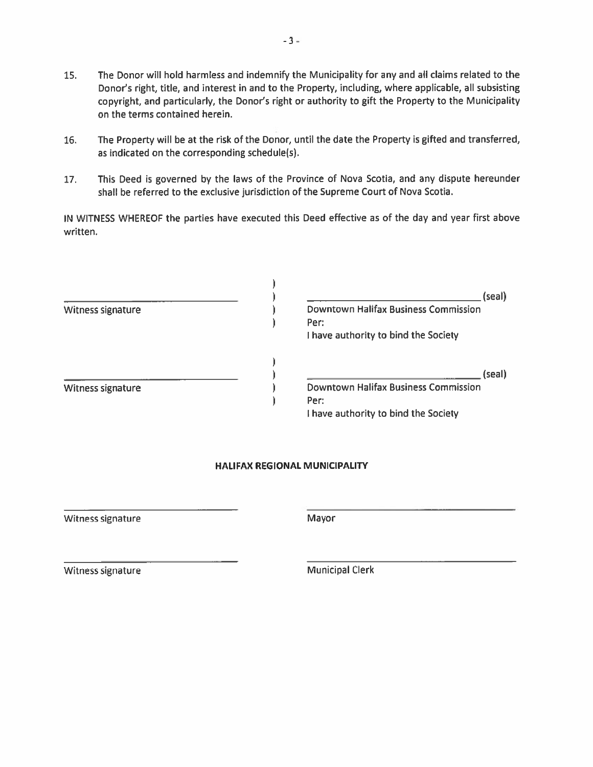- 15. The Donor will hold harmless and indemnify the Municipality for any and all claims related to the Donor's right, title, and interest in and to the Property, including, where applicable, all subsisting copyright, and particularly, the Donor's right or authority to gift the Property to the Municipality on the terms contained herein.
- The Property will be at the risk of the Donor, until the date the Property is gifted and transferred, 16. as indicated on the corresponding schedule(s).
- This Deed is governed by the laws of the Province of Nova Scotia, and any dispute hereunder  $17.$ shall be referred to the exclusive jurisdiction of the Supreme Court of Nova Scotia.

IN WITNESS WHEREOF the parties have executed this Deed effective as of the day and year first above written.

|                   |                                             | (seal) |
|-------------------|---------------------------------------------|--------|
| Witness signature | <b>Downtown Halifax Business Commission</b> |        |
|                   | Per:                                        |        |
|                   | I have authority to bind the Society        |        |
|                   |                                             |        |
|                   |                                             | (seal) |
| Witness signature | <b>Downtown Halifax Business Commission</b> |        |
|                   | Per:                                        |        |
|                   | I have authority to bind the Society        |        |

#### **HALIFAX REGIONAL MUNICIPALITY**

Witness signature

Mayor

Witness signature

**Municipal Clerk**